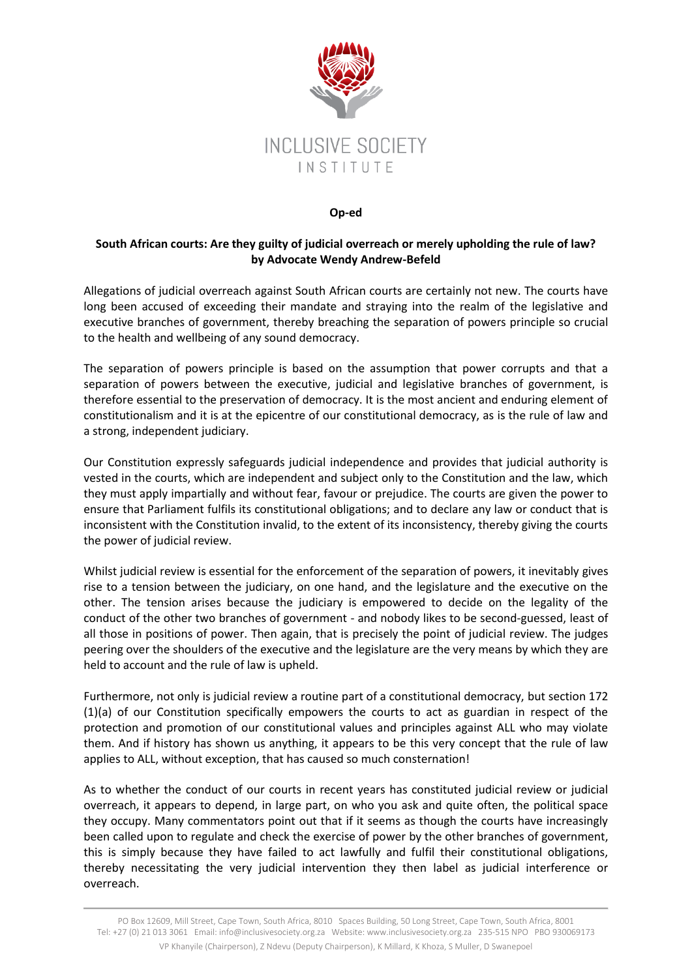

## **Op-ed**

## **South African courts: Are they guilty of judicial overreach or merely upholding the rule of law? by Advocate Wendy Andrew-Befeld**

Allegations of judicial overreach against South African courts are certainly not new. The courts have long been accused of exceeding their mandate and straying into the realm of the legislative and executive branches of government, thereby breaching the separation of powers principle so crucial to the health and wellbeing of any sound democracy.

The separation of powers principle is based on the assumption that power corrupts and that a separation of powers between the executive, judicial and legislative branches of government, is therefore essential to the preservation of democracy. It is the most ancient and enduring element of constitutionalism and it is at the epicentre of our constitutional democracy, as is the rule of law and a strong, independent judiciary.

Our Constitution expressly safeguards judicial independence and provides that judicial authority is vested in the courts, which are independent and subject only to the Constitution and the law, which they must apply impartially and without fear, favour or prejudice. The courts are given the power to ensure that Parliament fulfils its constitutional obligations; and to declare any law or conduct that is inconsistent with the Constitution invalid, to the extent of its inconsistency, thereby giving the courts the power of judicial review.

Whilst judicial review is essential for the enforcement of the separation of powers, it inevitably gives rise to a tension between the judiciary, on one hand, and the legislature and the executive on the other. The tension arises because the judiciary is empowered to decide on the legality of the conduct of the other two branches of government - and nobody likes to be second-guessed, least of all those in positions of power. Then again, that is precisely the point of judicial review. The judges peering over the shoulders of the executive and the legislature are the very means by which they are held to account and the rule of law is upheld.

Furthermore, not only is judicial review a routine part of a constitutional democracy, but section 172 (1)(a) of our Constitution specifically empowers the courts to act as guardian in respect of the protection and promotion of our constitutional values and principles against ALL who may violate them. And if history has shown us anything, it appears to be this very concept that the rule of law applies to ALL, without exception, that has caused so much consternation!

As to whether the conduct of our courts in recent years has constituted judicial review or judicial overreach, it appears to depend, in large part, on who you ask and quite often, the political space they occupy. Many commentators point out that if it seems as though the courts have increasingly been called upon to regulate and check the exercise of power by the other branches of government, this is simply because they have failed to act lawfully and fulfil their constitutional obligations, thereby necessitating the very judicial intervention they then label as judicial interference or overreach.